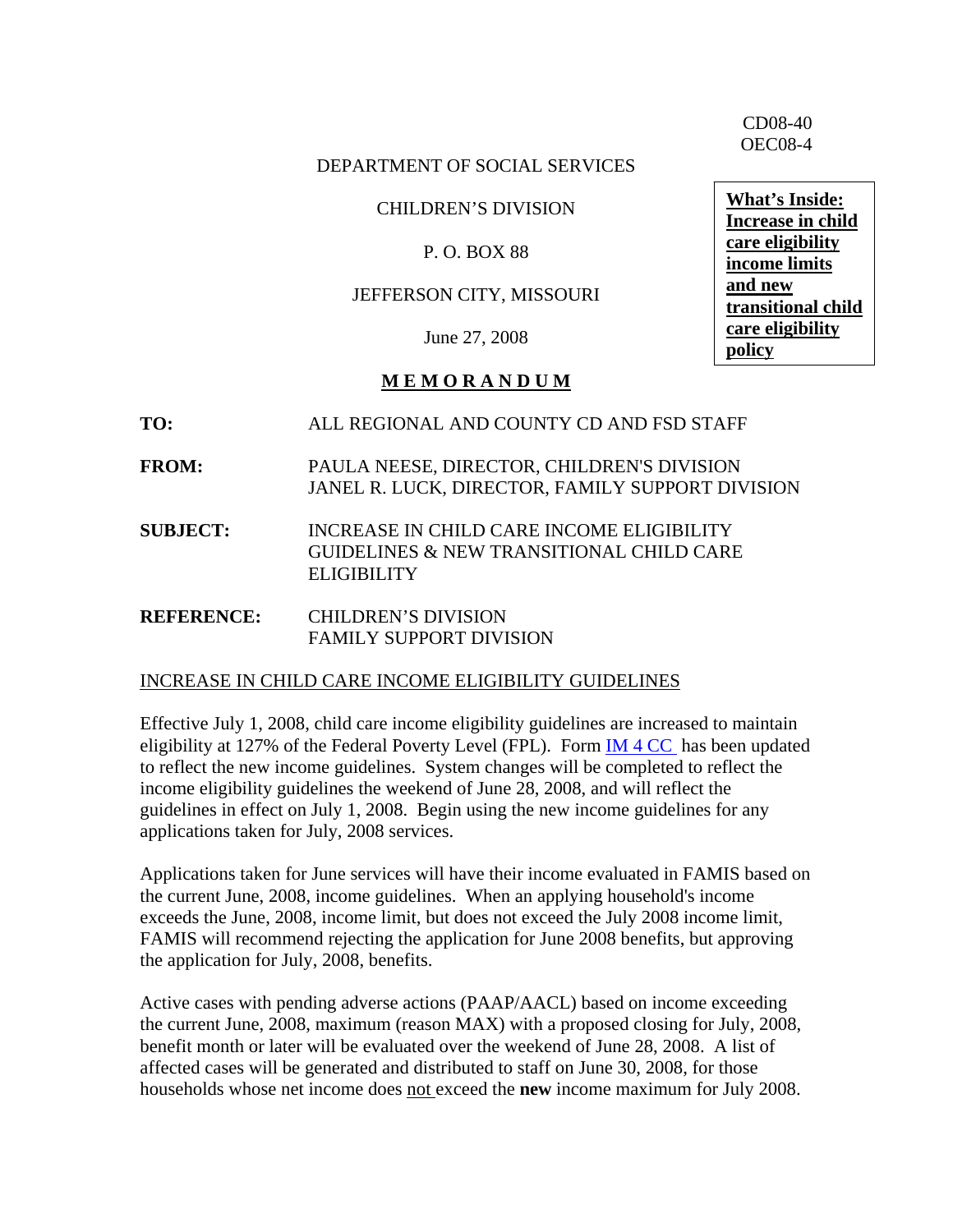CD08-40 OEC08-4

#### DEPARTMENT OF SOCIAL SERVICES

#### CHILDREN'S DIVISION

### P. O. BOX 88

#### JEFFERSON CITY, MISSOURI

June 27, 2008

#### **M E M O R A N D U M**

- **TO:** ALL REGIONAL AND COUNTY CD AND FSD STAFF
- **FROM:** PAULA NEESE, DIRECTOR, CHILDREN'S DIVISION JANEL R. LUCK, DIRECTOR, FAMILY SUPPORT DIVISION
- **SUBJECT:** INCREASE IN CHILD CARE INCOME ELIGIBILITY GUIDELINES & NEW TRANSITIONAL CHILD CARE **ELIGIBILITY**
- **REFERENCE:** CHILDREN'S DIVISION FAMILY SUPPORT DIVISION

#### INCREASE IN CHILD CARE INCOME ELIGIBILITY GUIDELINES

Effective July 1, 2008, child care income eligibility guidelines are increased to maintain eligibility at 127% of the Federal Poverty Level (FPL). Form [IM 4 CC](http://www.dss.mo.gov/cd/childcare/pdf/ccguide_0708.pdf) has been updated to reflect the new income guidelines. System changes will be completed to reflect the income eligibility guidelines the weekend of June 28, 2008, and will reflect the guidelines in effect on July 1, 2008. Begin using the new income guidelines for any applications taken for July, 2008 services.

Applications taken for June services will have their income evaluated in FAMIS based on the current June, 2008, income guidelines. When an applying household's income exceeds the June, 2008, income limit, but does not exceed the July 2008 income limit, FAMIS will recommend rejecting the application for June 2008 benefits, but approving the application for July, 2008, benefits.

Active cases with pending adverse actions (PAAP/AACL) based on income exceeding the current June, 2008, maximum (reason MAX) with a proposed closing for July, 2008, benefit month or later will be evaluated over the weekend of June 28, 2008. A list of affected cases will be generated and distributed to staff on June 30, 2008, for those households whose net income does not exceed the **new** income maximum for July 2008.

**What's Inside: Increase in child care eligibility income limits and new transitional child care eligibility policy**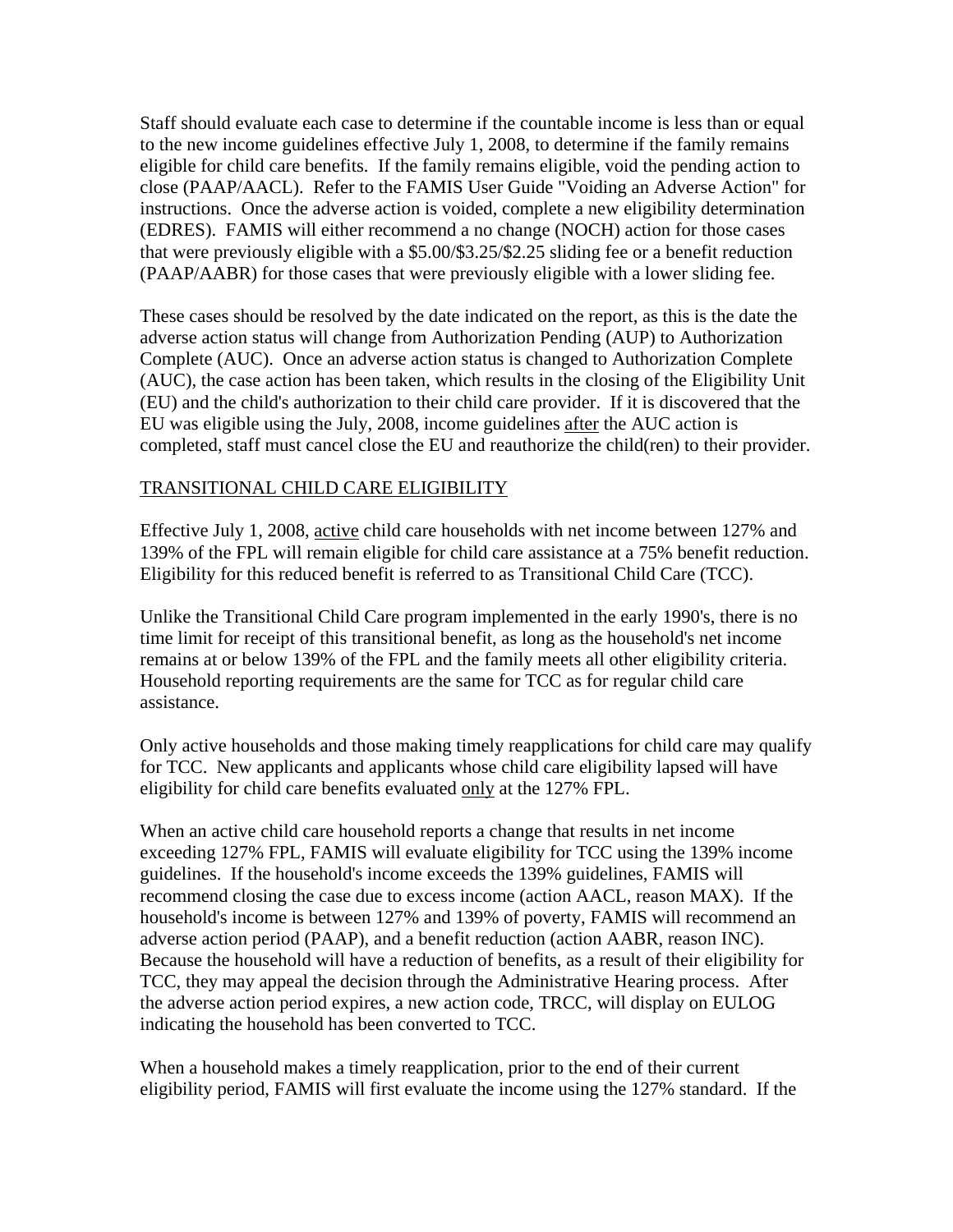Staff should evaluate each case to determine if the countable income is less than or equal to the new income guidelines effective July 1, 2008, to determine if the family remains eligible for child care benefits. If the family remains eligible, void the pending action to close (PAAP/AACL). Refer to the FAMIS User Guide "Voiding an Adverse Action" for instructions. Once the adverse action is voided, complete a new eligibility determination (EDRES). FAMIS will either recommend a no change (NOCH) action for those cases that were previously eligible with a \$5.00/\$3.25/\$2.25 sliding fee or a benefit reduction (PAAP/AABR) for those cases that were previously eligible with a lower sliding fee.

These cases should be resolved by the date indicated on the report, as this is the date the adverse action status will change from Authorization Pending (AUP) to Authorization Complete (AUC). Once an adverse action status is changed to Authorization Complete (AUC), the case action has been taken, which results in the closing of the Eligibility Unit (EU) and the child's authorization to their child care provider. If it is discovered that the EU was eligible using the July, 2008, income guidelines after the AUC action is completed, staff must cancel close the EU and reauthorize the child(ren) to their provider.

#### TRANSITIONAL CHILD CARE ELIGIBILITY

Effective July 1, 2008, active child care households with net income between 127% and 139% of the FPL will remain eligible for child care assistance at a 75% benefit reduction. Eligibility for this reduced benefit is referred to as Transitional Child Care (TCC).

Unlike the Transitional Child Care program implemented in the early 1990's, there is no time limit for receipt of this transitional benefit, as long as the household's net income remains at or below 139% of the FPL and the family meets all other eligibility criteria. Household reporting requirements are the same for TCC as for regular child care assistance.

Only active households and those making timely reapplications for child care may qualify for TCC. New applicants and applicants whose child care eligibility lapsed will have eligibility for child care benefits evaluated only at the 127% FPL.

When an active child care household reports a change that results in net income exceeding 127% FPL, FAMIS will evaluate eligibility for TCC using the 139% income guidelines. If the household's income exceeds the 139% guidelines, FAMIS will recommend closing the case due to excess income (action AACL, reason MAX). If the household's income is between 127% and 139% of poverty, FAMIS will recommend an adverse action period (PAAP), and a benefit reduction (action AABR, reason INC). Because the household will have a reduction of benefits, as a result of their eligibility for TCC, they may appeal the decision through the Administrative Hearing process. After the adverse action period expires, a new action code, TRCC, will display on EULOG indicating the household has been converted to TCC.

When a household makes a timely reapplication, prior to the end of their current eligibility period, FAMIS will first evaluate the income using the 127% standard. If the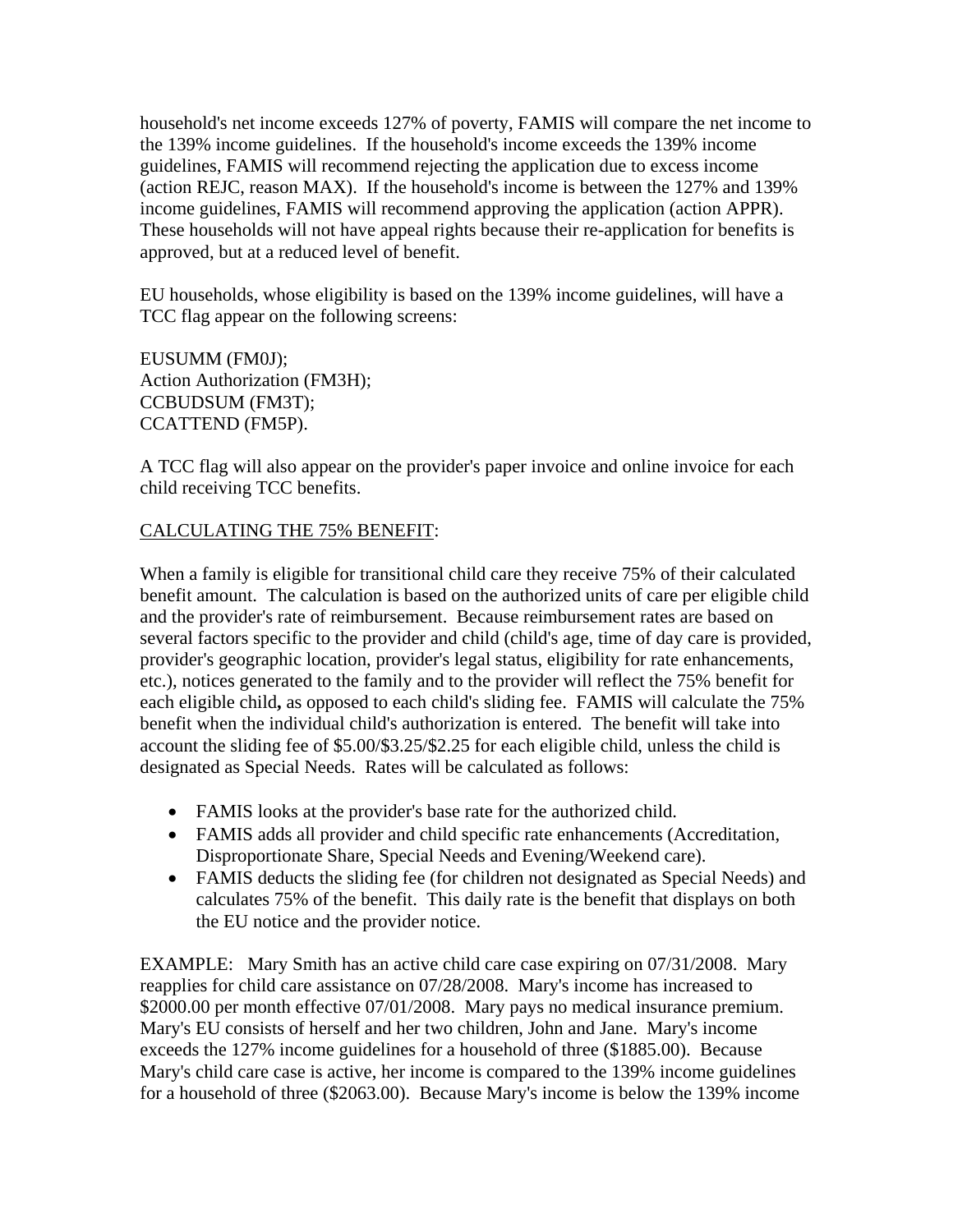household's net income exceeds 127% of poverty, FAMIS will compare the net income to the 139% income guidelines. If the household's income exceeds the 139% income guidelines, FAMIS will recommend rejecting the application due to excess income (action REJC, reason MAX). If the household's income is between the 127% and 139% income guidelines, FAMIS will recommend approving the application (action APPR). These households will not have appeal rights because their re-application for benefits is approved, but at a reduced level of benefit.

EU households, whose eligibility is based on the 139% income guidelines, will have a TCC flag appear on the following screens:

EUSUMM (FM0J); Action Authorization (FM3H); CCBUDSUM (FM3T); CCATTEND (FM5P).

A TCC flag will also appear on the provider's paper invoice and online invoice for each child receiving TCC benefits.

## CALCULATING THE 75% BENEFIT:

When a family is eligible for transitional child care they receive 75% of their calculated benefit amount. The calculation is based on the authorized units of care per eligible child and the provider's rate of reimbursement. Because reimbursement rates are based on several factors specific to the provider and child (child's age, time of day care is provided, provider's geographic location, provider's legal status, eligibility for rate enhancements, etc.), notices generated to the family and to the provider will reflect the 75% benefit for each eligible child**,** as opposed to each child's sliding fee. FAMIS will calculate the 75% benefit when the individual child's authorization is entered. The benefit will take into account the sliding fee of \$5.00/\$3.25/\$2.25 for each eligible child, unless the child is designated as Special Needs. Rates will be calculated as follows:

- FAMIS looks at the provider's base rate for the authorized child.
- FAMIS adds all provider and child specific rate enhancements (Accreditation, Disproportionate Share, Special Needs and Evening/Weekend care).
- FAMIS deducts the sliding fee (for children not designated as Special Needs) and calculates 75% of the benefit. This daily rate is the benefit that displays on both the EU notice and the provider notice.

EXAMPLE: Mary Smith has an active child care case expiring on 07/31/2008. Mary reapplies for child care assistance on 07/28/2008. Mary's income has increased to \$2000.00 per month effective 07/01/2008. Mary pays no medical insurance premium. Mary's EU consists of herself and her two children, John and Jane. Mary's income exceeds the 127% income guidelines for a household of three (\$1885.00). Because Mary's child care case is active, her income is compared to the 139% income guidelines for a household of three (\$2063.00). Because Mary's income is below the 139% income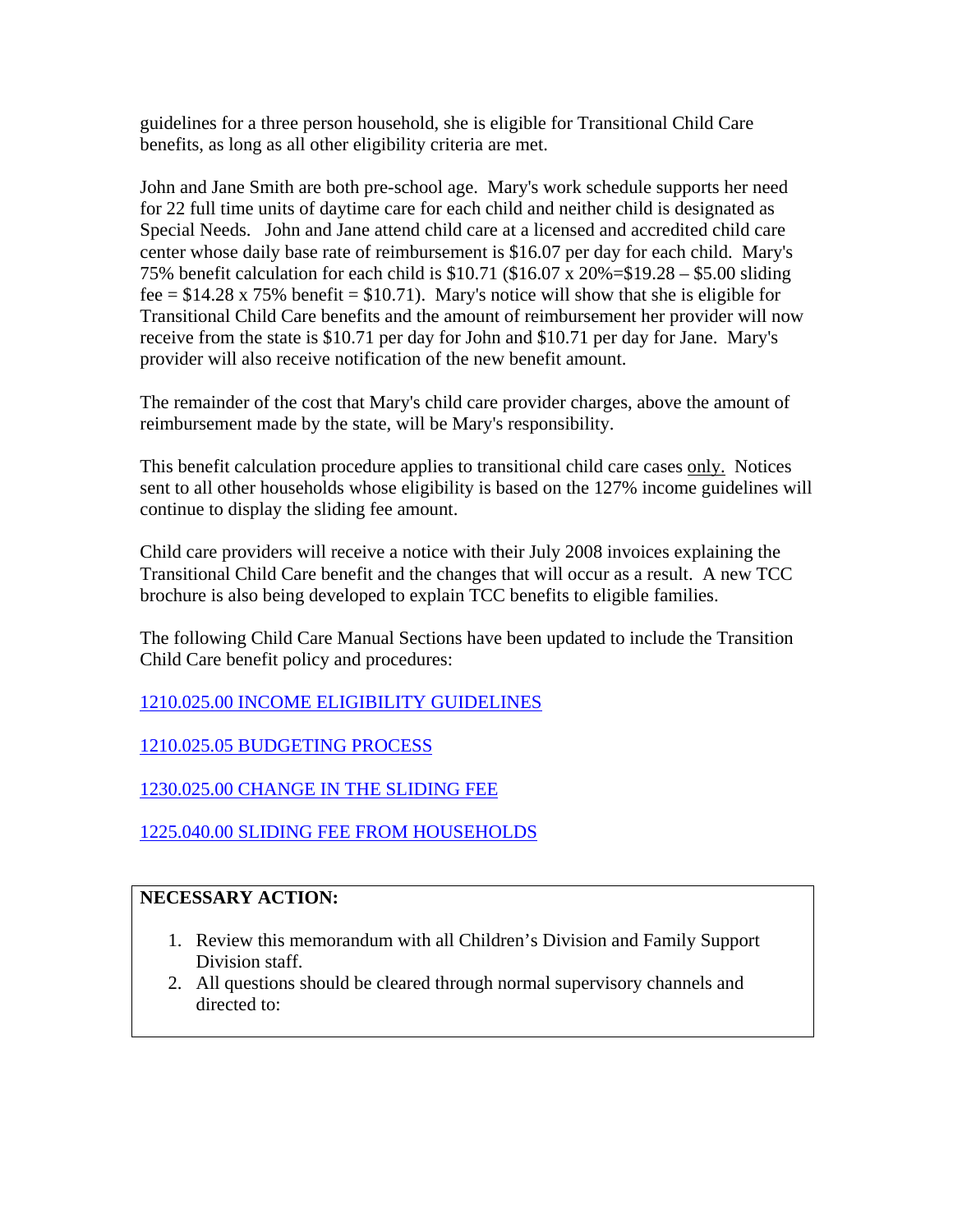guidelines for a three person household, she is eligible for Transitional Child Care benefits, as long as all other eligibility criteria are met.

John and Jane Smith are both pre-school age. Mary's work schedule supports her need for 22 full time units of daytime care for each child and neither child is designated as Special Needs. John and Jane attend child care at a licensed and accredited child care center whose daily base rate of reimbursement is \$16.07 per day for each child. Mary's 75% benefit calculation for each child is \$10.71 (\$16.07 x 20%=\$19.28 – \$5.00 sliding fee =  $$14.28 \times 75\%$  benefit =  $$10.71$ ). Mary's notice will show that she is eligible for Transitional Child Care benefits and the amount of reimbursement her provider will now receive from the state is \$10.71 per day for John and \$10.71 per day for Jane. Mary's provider will also receive notification of the new benefit amount.

The remainder of the cost that Mary's child care provider charges, above the amount of reimbursement made by the state, will be Mary's responsibility.

This benefit calculation procedure applies to transitional child care cases only. Notices sent to all other households whose eligibility is based on the 127% income guidelines will continue to display the sliding fee amount.

Child care providers will receive a notice with their July 2008 invoices explaining the Transitional Child Care benefit and the changes that will occur as a result. A new TCC brochure is also being developed to explain TCC benefits to eligible families.

The following Child Care Manual Sections have been updated to include the Transition Child Care benefit policy and procedures:

[1210.025.00 INCOME ELIGIBILITY GUIDELINES](http://dssweb/fsd/manual/chldcare/1210-025-00_1210-025-05.html#1210.025.00)

[1210.025.05 BUDGETING PROCESS](http://dssweb/fsd/manual/chldcare/1210-025-00_1210-025-05.html#1210.025.05)

[1230.025.00 CHANGE IN THE SLIDING FEE](http://dssweb/fsd/manual/chldcare/1230-020-00_1230-025-00.html#1230.025.00)

[1225.040.00 SLIDING FEE FROM HOUSEHOLDS](http://dss.mo.gov/fsd/iman/chldcare/1225-040-00_1225-040-10.html)

# **NECESSARY ACTION:**

- 1. Review this memorandum with all Children's Division and Family Support Division staff.
- 2. All questions should be cleared through normal supervisory channels and directed to: